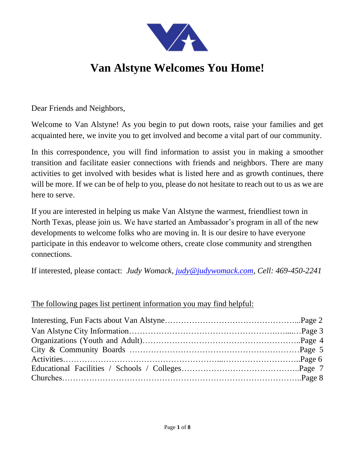

# **Van Alstyne Welcomes You Home!**

Dear Friends and Neighbors,

Welcome to Van Alstyne! As you begin to put down roots, raise your families and get acquainted here, we invite you to get involved and become a vital part of our community.

In this correspondence, you will find information to assist you in making a smoother transition and facilitate easier connections with friends and neighbors. There are many activities to get involved with besides what is listed here and as growth continues, there will be more. If we can be of help to you, please do not hesitate to reach out to us as we are here to serve.

If you are interested in helping us make Van Alstyne the warmest, friendliest town in North Texas, please join us. We have started an Ambassador's program in all of the new developments to welcome folks who are moving in. It is our desire to have everyone participate in this endeavor to welcome others, create close community and strengthen connections.

If interested, please contact: *Judy Womack, [judy@judywomack.com,](mailto:judy@judywomack.com) Cell: 469-450-2241* 

### The following pages list pertinent information you may find helpful: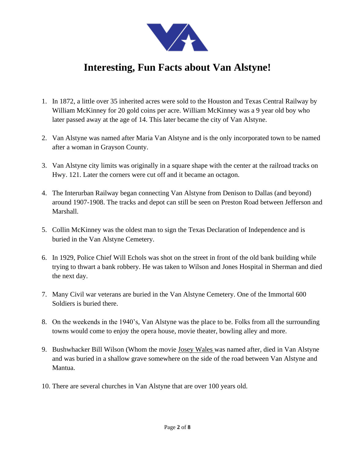

## **Interesting, Fun Facts about Van Alstyne!**

- 1. In 1872, a little over 35 inherited acres were sold to the Houston and Texas Central Railway by William McKinney for 20 gold coins per acre. William McKinney was a 9 year old boy who later passed away at the age of 14. This later became the city of Van Alstyne.
- 2. Van Alstyne was named after Maria Van Alstyne and is the only incorporated town to be named after a woman in Grayson County.
- 3. Van Alstyne city limits was originally in a square shape with the center at the railroad tracks on Hwy. 121. Later the corners were cut off and it became an octagon.
- 4. The Interurban Railway began connecting Van Alstyne from Denison to Dallas (and beyond) around 1907-1908. The tracks and depot can still be seen on Preston Road between Jefferson and Marshall.
- 5. Collin McKinney was the oldest man to sign the Texas Declaration of Independence and is buried in the Van Alstyne Cemetery.
- 6. In 1929, Police Chief Will Echols was shot on the street in front of the old bank building while trying to thwart a bank robbery. He was taken to Wilson and Jones Hospital in Sherman and died the next day.
- 7. Many Civil war veterans are buried in the Van Alstyne Cemetery. One of the Immortal 600 Soldiers is buried there.
- 8. On the weekends in the 1940's, Van Alstyne was the place to be. Folks from all the surrounding towns would come to enjoy the opera house, movie theater, bowling alley and more.
- 9. Bushwhacker Bill Wilson (Whom the movie Josey Wales was named after, died in Van Alstyne and was buried in a shallow grave somewhere on the side of the road between Van Alstyne and Mantua.
- 10. There are several churches in Van Alstyne that are over 100 years old.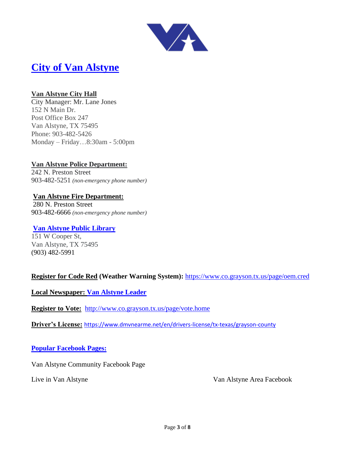

### **[City of Van Alstyne](https://cityofvanalstyne.us/)**

#### **Van Alstyne City Hall**

City Manager: Mr. Lane Jones 152 N Main Dr. Post Office Box 247 Van Alstyne, TX 75495 Phone: 903-482-5426 Monday – Friday…8:30am - 5:00pm

#### **Van Alstyne Police Department:**

242 N. Preston Street 903-482-5251 *(non-emergency phone number)*

#### **Van Alstyne Fire Department:**

280 N. Preston Street 903-482-6666 *(non-emergency phone number)*

#### **[Van Alstyne Public Library](https://cityofvanalstyne.us/departments/library)**

151 W Cooper St, Van Alstyne, TX 75495 [\(903\) 482-5991](https://www.google.com/search?rlz=1C1FERN_enUS709US711&ei=pITNXKOdB8OwtQWZppuIAg&q=van+alstyne+library&oq=van+alstyne+library&gs_l=psy-ab.3..35i39j0l3j0i22i30l2.6922.8268..8859...0.0..0.88.481.7......0....1..gws-wiz.......0i71j0i20i263j38.xLo-LoF22GM) 

#### **Register for Code Red (Weather Warning System):** <https://www.co.grayson.tx.us/page/oem.cred>

**Local Newspaper: [Van Alstyne Leader](https://www.vanalstyneleader.com/)**

**Register to Vote:** <http://www.co.grayson.tx.us/page/vote.home>

**Driver's License:** <https://www.dmvnearme.net/en/drivers-license/tx-texas/grayson-county>

#### **Popular Facebook Pages:**

Van Alstyne Community Facebook Page

Live in Van Alstyne Van Alstyne Area Facebook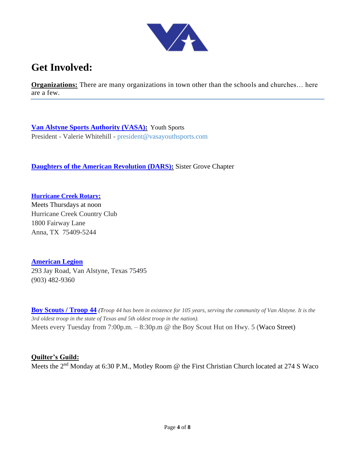

### **Get Involved:**

**Organizations:** There are many organizations in town other than the schools and churches... here are a few.

**[Van Alstyne Sports Authority \(VASA\):](http://vasayouthsports.com/site/)** Youth Sports President - Valerie Whitehill - [president@vasayouthsports.com](mailto:President@vasayouthsports.com)

**[Daughters of the American Revolution \(DARS\):](https://www.texasdar.org/chapters/SisterGrove/)** Sister Grove Chapter

**[Hurricane Creek Rotary:](https://rotary5810.org/clubinfo/hurricane-creek)**  Meets Thursdays at noon Hurricane Creek Country Club 1800 Fairway Lane Anna, TX 75409-5244

**[American Legion](https://www.facebook.com/AmericanLegionVanAlstynePost376/)**  293 Jay Road, Van Alstyne, Texas 75495 (903) 482-9360

**[Boy Scouts / Troop 44](https://www.troopwebhost.org/Troop44VanAlstyne/Index.htm)** *(Troop 44 has been in existence for 105 years, serving the community of Van Alstyne. It is the 3rd oldest troop in the state of Texas and 5th oldest troop in the nation).*  Meets every Tuesday from 7:00p.m. – 8:30p.m @ the Boy Scout Hut on Hwy. 5 (Waco Street)

#### **Quilter's Guild:**

Meets the 2nd Monday at 6:30 P.M., Motley Room @ the First Christian Church located at 274 S Waco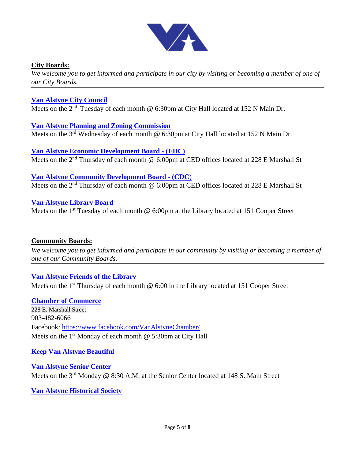

#### **City Boards:**

*We welcome you to get informed and participate in our city by visiting or becoming a member of one of our City Boards.*

#### **[Van Alstyne City Council](https://cityofvanalstyne.us/government/council-meetings/)**

Meets on the  $2<sup>nd</sup>$  Tuesday of each month @ 6:30pm at City Hall located at 152 N Main Dr.

#### **[Van Alstyne Planning and Zoning Commission](https://cityofvanalstyne.us/government/boards-commissions/planning-and-zoning-commission/)**

Meets on the 3<sup>rd</sup> Wednesday of each month @ 6:30pm at City Hall located at 152 N Main Dr.

**[Van Alstyne Economic Development Board](https://vanalstyneedc.com/) - (EDC)** Meets on the 2<sup>nd</sup> Thursday of each month @ 6:00pm at CED offices located at 228 E Marshall St

#### **[Van Alstyne Community Development Board](https://vanalstynecdc.com/) - (CDC**) Meets on the 2<sup>nd</sup> Thursday of each month @ 6:00pm at CED offices located at 228 E Marshall St

**[Van Alstyne Library Board](https://cityofvanalstyne.us/departments/library/library-board/)**

Meets on the 1<sup>st</sup> Tuesday of each month @ 6:00pm at the Library located at 151 Cooper Street

#### **Community Boards:**

*We welcome you to get informed and participate in our community by visiting or becoming a member of one of our Community Boards.*

#### **[Van Alstyne Friends of the Library](https://friendsofvalibrary.com/)**

Meets on the 1<sup>st</sup> Thursday of each month  $\omega$  6:00 in the Library located at 151 Cooper Street

**[Chamber of Commerce](https://vanalstynechamber.org/)** 228 E. Marshall Street 903-482-6066 Facebook:<https://www.facebook.com/VanAlstyneChamber/> Meets on the  $1<sup>st</sup>$  Monday of each month @ 5:30pm at City Hall

#### **[Keep Van Alstyne Beautiful](https://www.facebook.com/KeepVanAlstyneBeautiful/)**

**[Van Alstyne Senior Center](https://cityofvanalstyne.us/about/facilities/senior-center/)**  Meets on the 3rd Monday @ 8:30 A.M. at the Senior Center located at 148 S. Main Street

#### **[Van Alstyne Historical Society](https://vanalstynehs.weebly.com/)**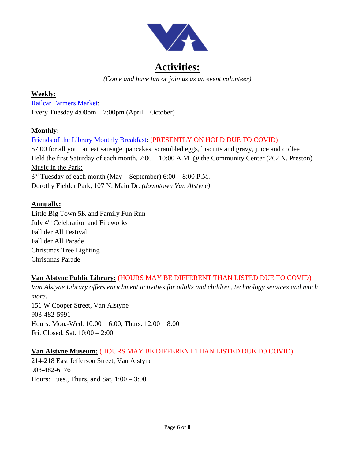

*(Come and have fun or join us as an event volunteer)*

#### **Weekly:**

[Railcar Farmers Market:](https://www.facebook.com/railcarfarmersmarket/) Every Tuesday 4:00pm – 7:00pm (April – October)

#### **Monthly:**

[Friends of the Library Monthly Breakfast:](https://friendsofvalibrary.com/monthly-breakfast/) (PRESENTLY ON HOLD DUE TO COVID) \$7.00 for all you can eat sausage, pancakes, scrambled eggs, biscuits and gravy, juice and coffee Held the first Saturday of each month,  $7:00 - 10:00$  A.M. @ the Community Center (262 N. Preston) Music in the Park:  $3<sup>rd</sup>$  Tuesday of each month (May – September) 6:00 – 8:00 P.M. Dorothy Fielder Park, 107 N. Main Dr. *(downtown Van Alstyne)*

#### **Annually:**

Little Big Town 5K and Family Fun Run July 4<sup>th</sup> Celebration and Fireworks Fall der All Festival Fall der All Parade Christmas Tree Lighting Christmas Parade

#### **Van Alstyne Public Library:** (HOURS MAY BE DIFFERENT THAN LISTED DUE TO COVID)

*Van Alstyne Library offers enrichment activities for adults and children, technology services and much more.*  151 W Cooper Street, Van Alstyne 903-482-5991 Hours: Mon.-Wed. 10:00 – 6:00, Thurs. 12:00 – 8:00 Fri. Closed, Sat. 10:00 – 2:00

#### **Van Alstyne Museum:** (HOURS MAY BE DIFFERENT THAN LISTED DUE TO COVID)

214-218 East Jefferson Street, Van Alstyne 903-482-6176 Hours: Tues., Thurs, and Sat, 1:00 – 3:00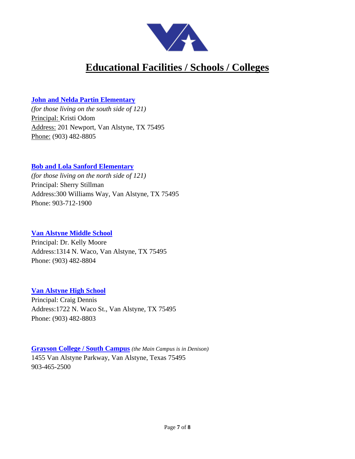

## **Educational Facilities / Schools / Colleges**

#### **[John and Nelda Partin Elementary](https://es.vanalstyneisd.org/)**

*(for those living on the south side of 121)*  Principal: Kristi Odom Address: 201 Newport, Van Alstyne, TX 75495 Phone: (903) 482-8805

#### **[Bob and Lola Sanford Elementary](https://ses.vanalstyneisd.org/)**

*(for those living on the north side of 121)*  Principal: Sherry Stillman Address:300 Williams Way, Van Alstyne, TX 75495 Phone: 903-712-1900

#### **[Van Alstyne Middle School](https://ms.vanalstyneisd.org/)**

Principal: Dr. Kelly Moore Address:1314 N. Waco, Van Alstyne, TX 75495 Phone: (903) 482-8804

#### **[Van Alstyne High School](https://hs.vanalstyneisd.org/)**

Principal: Craig Dennis Address:1722 N. Waco St., Van Alstyne, TX 75495 Phone: (903) 482-8803

**[Grayson College / South Campus](https://www.grayson.edu/campuses/South%20Campus/index.html)** *(the Main Campus is in Denison)*  1455 Van Alstyne Parkway, Van Alstyne, Texas 75495 903-465-2500